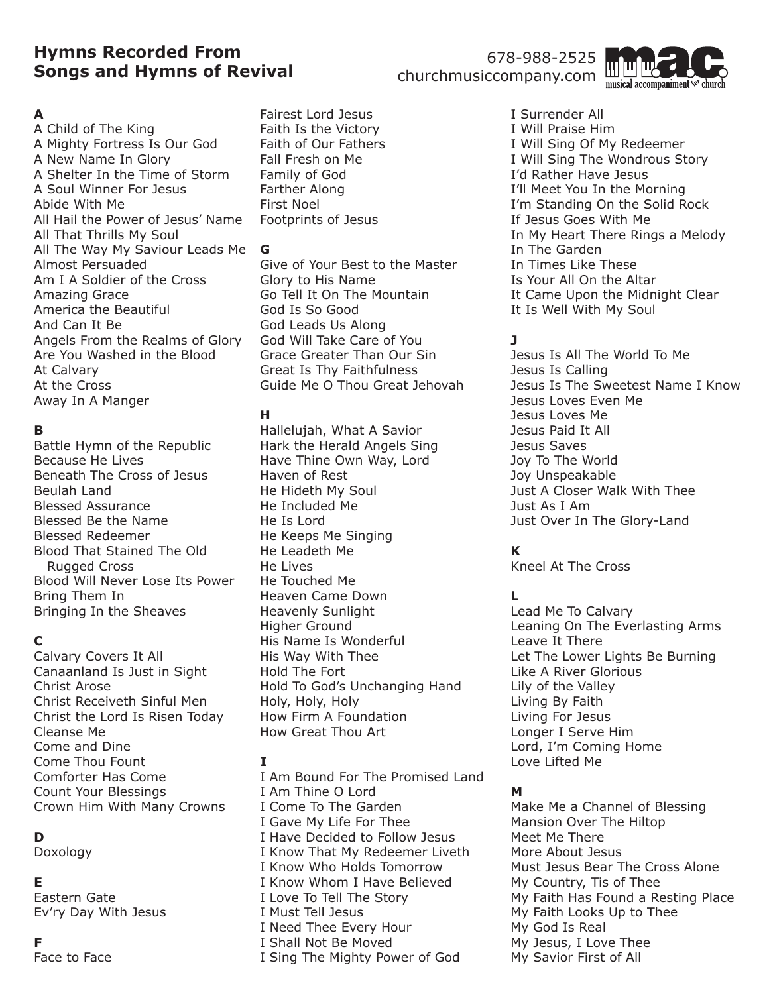# **Hymns Recorded From Songs and Hymns of Revival**

# 678-988-2525 churchmusiccompany.com



### **A**

A Child of The King A Mighty Fortress Is Our God A New Name In Glory A Shelter In the Time of Storm A Soul Winner For Jesus Abide With Me All Hail the Power of Jesus' Name All That Thrills My Soul All The Way My Saviour Leads Me Almost Persuaded Am I A Soldier of the Cross Amazing Grace America the Beautiful And Can It Be Angels From the Realms of Glory Are You Washed in the Blood At Calvary At the Cross Away In A Manger

### **B**

Battle Hymn of the Republic Because He Lives Beneath The Cross of Jesus Beulah Land Blessed Assurance Blessed Be the Name Blessed Redeemer Blood That Stained The Old Rugged Cross Blood Will Never Lose Its Power Bring Them In Bringing In the Sheaves

## **C**

Calvary Covers It All Canaanland Is Just in Sight Christ Arose Christ Receiveth Sinful Men Christ the Lord Is Risen Today Cleanse Me Come and Dine Come Thou Fount Comforter Has Come Count Your Blessings Crown Him With Many Crowns

# **D**

Doxology

### **E**

Eastern Gate Ev'ry Day With Jesus

### **F**

Face to Face

Fairest Lord Jesus Faith Is the Victory Faith of Our Fathers Fall Fresh on Me Family of God Farther Along First Noel Footprints of Jesus

#### **G**

Give of Your Best to the Master Glory to His Name Go Tell It On The Mountain God Is So Good God Leads Us Along God Will Take Care of You Grace Greater Than Our Sin Great Is Thy Faithfulness Guide Me O Thou Great Jehovah

### **H**

Hallelujah, What A Savior Hark the Herald Angels Sing Have Thine Own Way, Lord Haven of Rest He Hideth My Soul He Included Me He Is Lord He Keeps Me Singing He Leadeth Me He Lives He Touched Me Heaven Came Down Heavenly Sunlight Higher Ground His Name Is Wonderful His Way With Thee Hold The Fort Hold To God's Unchanging Hand Holy, Holy, Holy How Firm A Foundation How Great Thou Art

## **I**

I Am Bound For The Promised Land I Am Thine O Lord I Come To The Garden I Gave My Life For Thee I Have Decided to Follow Jesus I Know That My Redeemer Liveth I Know Who Holds Tomorrow I Know Whom I Have Believed I Love To Tell The Story I Must Tell Jesus I Need Thee Every Hour I Shall Not Be Moved I Sing The Mighty Power of God

I Surrender All I Will Praise Him I Will Sing Of My Redeemer I Will Sing The Wondrous Story I'd Rather Have Jesus I'll Meet You In the Morning I'm Standing On the Solid Rock If Jesus Goes With Me In My Heart There Rings a Melody In The Garden In Times Like These Is Your All On the Altar It Came Upon the Midnight Clear It Is Well With My Soul

# **J**

Jesus Is All The World To Me Jesus Is Calling Jesus Is The Sweetest Name I Know Jesus Loves Even Me Jesus Loves Me Jesus Paid It All Jesus Saves Joy To The World Joy Unspeakable Just A Closer Walk With Thee Just As I Am Just Over In The Glory-Land

# **K**

Kneel At The Cross

## **L**

Lead Me To Calvary Leaning On The Everlasting Arms Leave It There Let The Lower Lights Be Burning Like A River Glorious Lily of the Valley Living By Faith Living For Jesus Longer I Serve Him Lord, I'm Coming Home Love Lifted Me

### **M**

Make Me a Channel of Blessing Mansion Over The Hiltop Meet Me There More About Jesus Must Jesus Bear The Cross Alone My Country, Tis of Thee My Faith Has Found a Resting Place My Faith Looks Up to Thee My God Is Real My Jesus, I Love Thee My Savior First of All